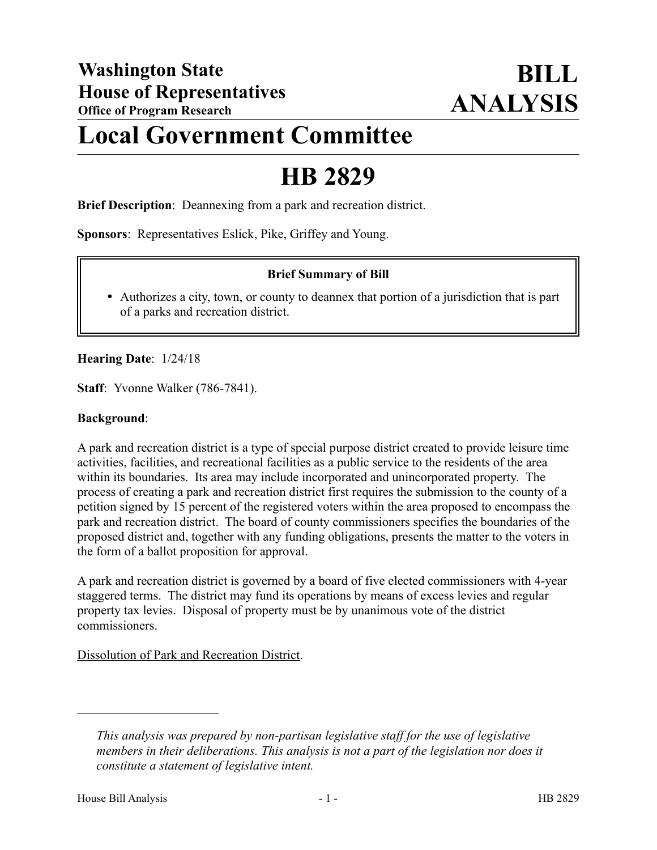## **Local Government Committee**

# **HB 2829**

**Brief Description**: Deannexing from a park and recreation district.

**Sponsors**: Representatives Eslick, Pike, Griffey and Young.

#### **Brief Summary of Bill**

 Authorizes a city, town, or county to deannex that portion of a jurisdiction that is part of a parks and recreation district.

**Hearing Date**: 1/24/18

**Staff**: Yvonne Walker (786-7841).

#### **Background**:

A park and recreation district is a type of special purpose district created to provide leisure time activities, facilities, and recreational facilities as a public service to the residents of the area within its boundaries. Its area may include incorporated and unincorporated property. The process of creating a park and recreation district first requires the submission to the county of a petition signed by 15 percent of the registered voters within the area proposed to encompass the park and recreation district. The board of county commissioners specifies the boundaries of the proposed district and, together with any funding obligations, presents the matter to the voters in the form of a ballot proposition for approval.

A park and recreation district is governed by a board of five elected commissioners with 4-year staggered terms. The district may fund its operations by means of excess levies and regular property tax levies. Disposal of property must be by unanimous vote of the district commissioners.

Dissolution of Park and Recreation District.

––––––––––––––––––––––

*This analysis was prepared by non-partisan legislative staff for the use of legislative members in their deliberations. This analysis is not a part of the legislation nor does it constitute a statement of legislative intent.*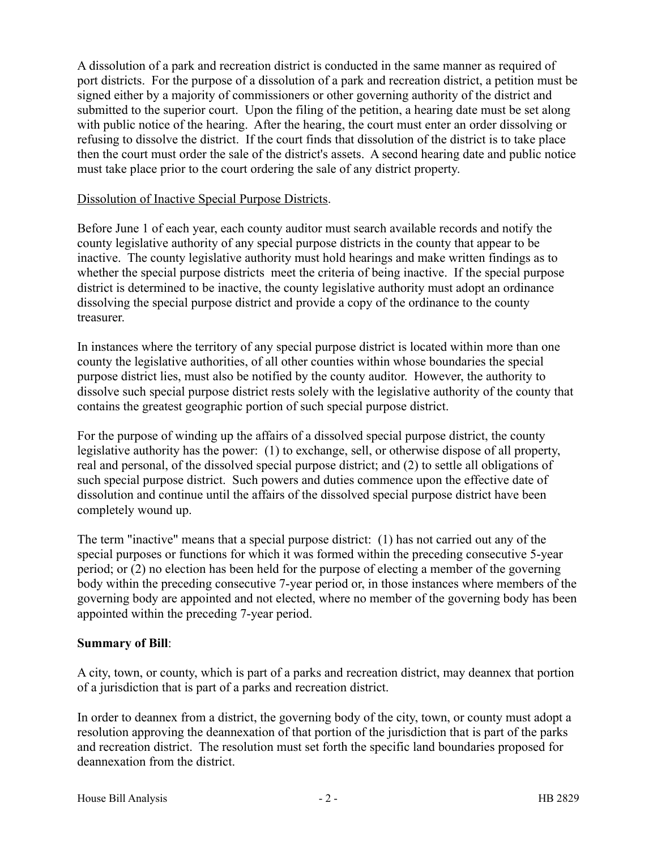A dissolution of a park and recreation district is conducted in the same manner as required of port districts. For the purpose of a dissolution of a park and recreation district, a petition must be signed either by a majority of commissioners or other governing authority of the district and submitted to the superior court. Upon the filing of the petition, a hearing date must be set along with public notice of the hearing. After the hearing, the court must enter an order dissolving or refusing to dissolve the district. If the court finds that dissolution of the district is to take place then the court must order the sale of the district's assets. A second hearing date and public notice must take place prior to the court ordering the sale of any district property.

#### Dissolution of Inactive Special Purpose Districts.

Before June 1 of each year, each county auditor must search available records and notify the county legislative authority of any special purpose districts in the county that appear to be inactive. The county legislative authority must hold hearings and make written findings as to whether the special purpose districts meet the criteria of being inactive. If the special purpose district is determined to be inactive, the county legislative authority must adopt an ordinance dissolving the special purpose district and provide a copy of the ordinance to the county treasurer.

In instances where the territory of any special purpose district is located within more than one county the legislative authorities, of all other counties within whose boundaries the special purpose district lies, must also be notified by the county auditor. However, the authority to dissolve such special purpose district rests solely with the legislative authority of the county that contains the greatest geographic portion of such special purpose district.

For the purpose of winding up the affairs of a dissolved special purpose district, the county legislative authority has the power: (1) to exchange, sell, or otherwise dispose of all property, real and personal, of the dissolved special purpose district; and (2) to settle all obligations of such special purpose district. Such powers and duties commence upon the effective date of dissolution and continue until the affairs of the dissolved special purpose district have been completely wound up.

The term "inactive" means that a special purpose district: (1) has not carried out any of the special purposes or functions for which it was formed within the preceding consecutive 5-year period; or (2) no election has been held for the purpose of electing a member of the governing body within the preceding consecutive 7-year period or, in those instances where members of the governing body are appointed and not elected, where no member of the governing body has been appointed within the preceding 7-year period.

### **Summary of Bill**:

A city, town, or county, which is part of a parks and recreation district, may deannex that portion of a jurisdiction that is part of a parks and recreation district.

In order to deannex from a district, the governing body of the city, town, or county must adopt a resolution approving the deannexation of that portion of the jurisdiction that is part of the parks and recreation district. The resolution must set forth the specific land boundaries proposed for deannexation from the district.